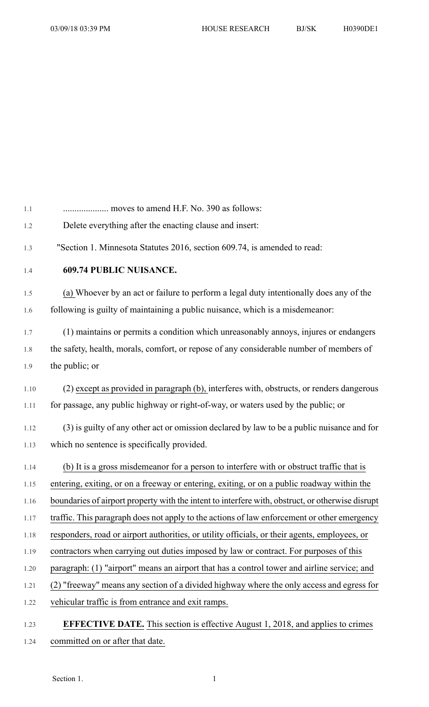| 1.1  |                                                                                                  |
|------|--------------------------------------------------------------------------------------------------|
| 1.2  | Delete everything after the enacting clause and insert:                                          |
| 1.3  | "Section 1. Minnesota Statutes 2016, section 609.74, is amended to read:                         |
| 1.4  | <b>609.74 PUBLIC NUISANCE.</b>                                                                   |
| 1.5  | (a) Whoever by an act or failure to perform a legal duty intentionally does any of the           |
| 1.6  | following is guilty of maintaining a public nuisance, which is a misdemeanor:                    |
| 1.7  | (1) maintains or permits a condition which unreasonably annoys, injures or endangers             |
| 1.8  | the safety, health, morals, comfort, or repose of any considerable number of members of          |
| 1.9  | the public; or                                                                                   |
| 1.10 | (2) except as provided in paragraph (b), interferes with, obstructs, or renders dangerous        |
| 1.11 | for passage, any public highway or right-of-way, or waters used by the public; or                |
| 1.12 | (3) is guilty of any other act or omission declared by law to be a public nuisance and for       |
| 1.13 | which no sentence is specifically provided.                                                      |
| 1.14 | (b) It is a gross misdemeanor for a person to interfere with or obstruct traffic that is         |
| 1.15 | entering, exiting, or on a freeway or entering, exiting, or on a public roadway within the       |
| 1.16 | boundaries of airport property with the intent to interfere with, obstruct, or otherwise disrupt |
| 1.17 | traffic. This paragraph does not apply to the actions of law enforcement or other emergency      |
| 1.18 | responders, road or airport authorities, or utility officials, or their agents, employees, or    |
| 1.19 | contractors when carrying out duties imposed by law or contract. For purposes of this            |
| 1.20 | paragraph: (1) "airport" means an airport that has a control tower and airline service; and      |
| 1.21 | (2) "freeway" means any section of a divided highway where the only access and egress for        |
| 1.22 | vehicular traffic is from entrance and exit ramps.                                               |
| 1.23 | <b>EFFECTIVE DATE.</b> This section is effective August 1, 2018, and applies to crimes           |
| 1.24 | committed on or after that date.                                                                 |